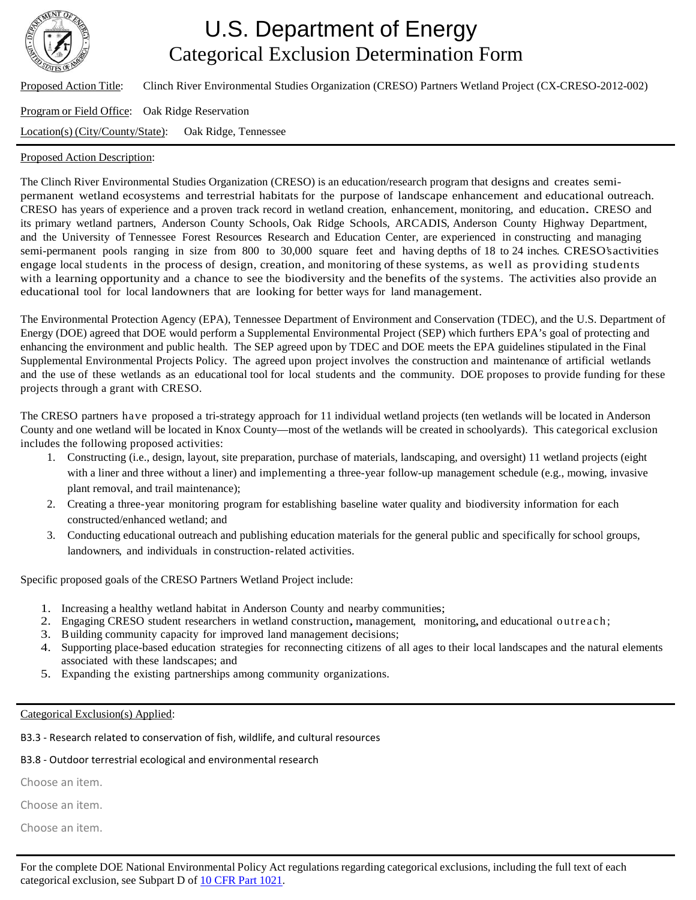

# U.S. Department of Energy Categorical Exclusion Determination Form

Proposed Action Title: Clinch River Environmental Studies Organization (CRESO) Partners Wetland Project (CX-CRESO-2012-002)

## Program or Field Office: Oak Ridge Reservation

Location(s) (City/County/State): Oak Ridge, Tennessee

### Proposed Action Description:

The Clinch River Environmental Studies Organization (CRESO) is an education/research program that designs and creates semipermanent wetland ecosystems and terrestrial habitats for the purpose of landscape enhancement and educational outreach. CRESO has years of experience and a proven track record in wetland creation, enhancement, monitoring, and education. CRESO and its primary wetland partners, Anderson County Schools, Oak Ridge Schools, ARCADIS, Anderson County Highway Department, and the University of Tennessee Forest Resources Research and Education Center, are experienced in constructing and managing semi-permanent pools ranging in size from 800 to 30,000 square feet and having depths of 18 to 24 inches. CRESO'sactivities engage local students in the process of design, creation, and monitoring of these systems, as well as providing students with a learning opportunity and a chance to see the biodiversity and the benefits of the systems. The activities also provide an educational tool for local landowners that are looking for better ways for land management.

The Environmental Protection Agency (EPA), Tennessee Department of Environment and Conservation (TDEC), and the U.S. Department of Energy (DOE) agreed that DOE would perform a Supplemental Environmental Project (SEP) which furthers EPA's goal of protecting and enhancing the environment and public health. The SEP agreed upon by TDEC and DOE meets the EPA guidelines stipulated in the Final Supplemental Environmental Projects Policy. The agreed upon project involves the construction and maintenance of artificial wetlands and the use of these wetlands as an educational tool for local students and the community. DOE proposes to provide funding for these projects through a grant with CRESO.

The CRESO partners have proposed a tri-strategy approach for 11 individual wetland projects (ten wetlands will be located in Anderson County and one wetland will be located in Knox County—most of the wetlands will be created in schoolyards). This categorical exclusion includes the following proposed activities:

- 1. Constructing (i.e., design, layout, site preparation, purchase of materials, landscaping, and oversight) 11 wetland projects (eight with a liner and three without a liner) and implementing a three-year follow-up management schedule (e.g., mowing, invasive plant removal, and trail maintenance);
- 2. Creating a three-year monitoring program for establishing baseline water quality and biodiversity information for each constructed/enhanced wetland; and
- 3. Conducting educational outreach and publishing education materials for the general public and specifically for school groups, landowners, and individuals in construction-related activities.

Specific proposed goals of the CRESO Partners Wetland Project include:

- 1. Increasing a healthy wetland habitat in Anderson County and nearby communities;
- 2. Engaging CRESO student researchers in wetland construction, management, monitoring,and educational outreach;
- 3. Building community capacity for improved land management decisions;
- 4. Supporting place-based education strategies for reconnecting citizens of all ages to their local landscapes and the natural elements associated with these landscapes; and
- 5. Expanding the existing partnerships among community organizations.

#### Categorical Exclusion(s) Applied:

B3.3 - Research related to conservation of fish, wildlife, and cultural resources

## B3.8 - Outdoor terrestrial ecological and environmental research

Choose an item.

Choose an item.

Choose an item.